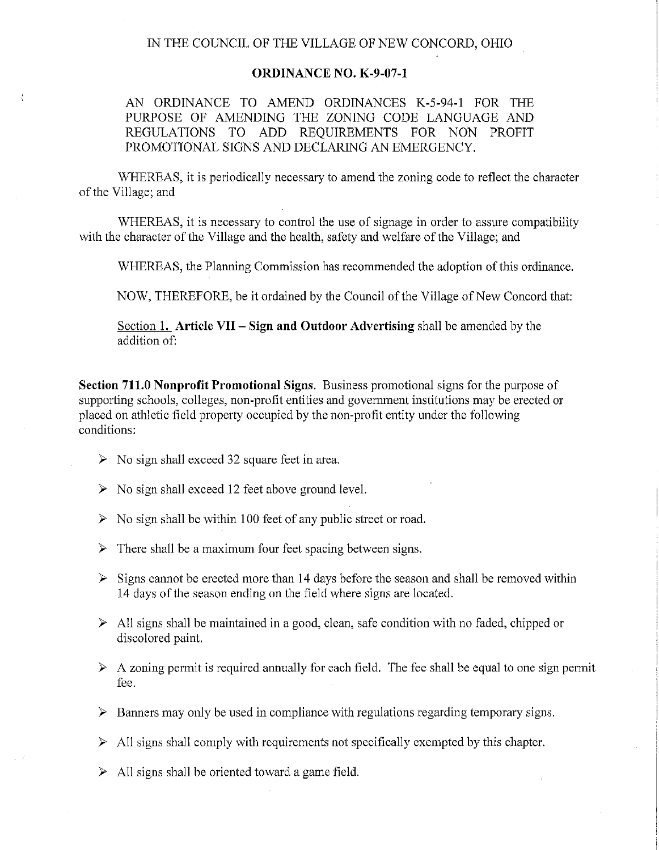## IN THE COUNCIL OF THE VILLAGE OF NEW CONCORD, OHIO

## **ORDINANCE NO. K-9-07-1**

AN ORDINANCE TO AMEND ORDINANCES K-5-94-1 FOR THE PURPOSE OF AMENDING THE ZONING CODE LANGUAGE AND REGULATIONS TO ADD REQUIREMENTS FOR NON PROFIT PROMOTIONAL SIGNS AND DECLARING AN EMERGENCY.

WHEREAS, it is periodically necessary to amend the zoning code to reflect the character of the Village; and

WHEREAS, it is necessary to control the use of signage in order to assure compatibility with the character of the Village and the health, safety and welfare of the Village; and

WHEREAS, the Planning Commission has recommended the adoption of this ordinance.

NOW, THEREFORE, be it ordained by the Council of the Village of New Concord that:

Section 1. **Article VII - Sign and Outdoor Advertising** shall be amended by the addition of:

**Section 711.0 Nonprofit Promotional Signs.** Business promotional signs for the purpose of supporting schools, colleges, non-profit entities and government institutions may be erected or placed on athletic field property occupied by the non-profit entity under the following conditions:

- $\triangleright$  No sign shall exceed 32 square feet in area.
- $\triangleright$  No sign shall exceed 12 feet above ground level.
- $\triangleright$  No sign shall be within 100 feet of any public street or road.
- $\triangleright$  There shall be a maximum four feet spacing between signs.
- $\triangleright$  Signs cannot be erected more than 14 days before the season and shall be removed within 14 days of the season ending on the field where signs are located.
- $\triangleright$  All signs shall be maintained in a good, clean, safe condition with no faded, chipped or discolored paint.
- $\triangleright$  A zoning permit is required annually for each field. The fee shall be equal to one sign permit fee.
- $\triangleright$  Banners may only be used in compliance with regulations regarding temporary signs.
- $\triangleright$  All signs shall comply with requirements not specifically exempted by this chapter.
- $\triangleright$  All signs shall be oriented toward a game field.